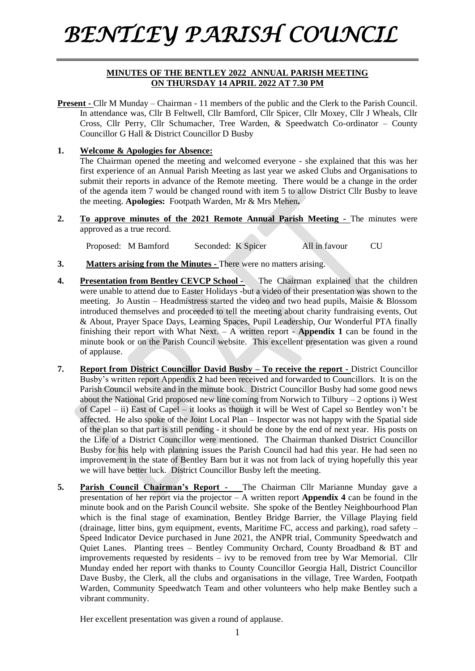## *BENTLEY PARISH COUNCIL*

## **MINUTES OF THE BENTLEY 2022 ANNUAL PARISH MEETING ON THURSDAY 14 APRIL 2022 AT 7.30 PM**

**Present -** Cllr M Munday – Chairman - 11 members of the public and the Clerk to the Parish Council. In attendance was, Cllr B Feltwell, Cllr Bamford, Cllr Spicer, Cllr Moxey, Cllr J Wheals, Cllr Cross, Cllr Perry, Cllr Schumacher, Tree Warden, & Speedwatch Co-ordinator – County Councillor G Hall & District Councillor D Busby

## **1. Welcome & Apologies for Absence:**

The Chairman opened the meeting and welcomed everyone - she explained that this was her first experience of an Annual Parish Meeting as last year we asked Clubs and Organisations to submit their reports in advance of the Remote meeting. There would be a change in the order of the agenda item 7 would be changed round with item 5 to allow District Cllr Busby to leave the meeting. **Apologies:** Footpath Warden, Mr & Mrs Mehen**.**

**2. To approve minutes of the 2021 Remote Annual Parish Meeting -** The minutes were approved as a true record.

Proposed: M Bamford Seconded: K Spicer All in favour CU

- **3. Matters arising from the Minutes -** There were no matters arising.
- **4. Presentation from Bentley CEVCP School -** The Chairman explained that the children were unable to attend due to Easter Holidays -but a video of their presentation was shown to the meeting. Jo Austin – Headmistress started the video and two head pupils, Maisie & Blossom introduced themselves and proceeded to tell the meeting about charity fundraising events, Out & About, Prayer Space Days, Learning Spaces, Pupil Leadership, Our Wonderful PTA finally finishing their report with What Next. – A written report - **Appendix 1** can be found in the minute book or on the Parish Council website. This excellent presentation was given a round of applause.
- **7. Report from District Councillor David Busby – To receive the report -** District Councillor Busby's written report Appendix **2** had been received and forwarded to Councillors. It is on the Parish Council website and in the minute book. District Councillor Busby had some good news about the National Grid proposed new line coming from Norwich to Tilbury – 2 options i) West of Capel – ii) East of Capel – it looks as though it will be West of Capel so Bentley won't be affected. He also spoke of the Joint Local Plan – Inspector was not happy with the Spatial side of the plan so that part is still pending - it should be done by the end of next year. His posts on the Life of a District Councillor were mentioned. The Chairman thanked District Councillor Busby for his help with planning issues the Parish Council had had this year. He had seen no improvement in the state of Bentley Barn but it was not from lack of trying hopefully this year we will have better luck. District Councillor Busby left the meeting.
- **5. Parish Council Chairman's Report** The Chairman Cllr Marianne Munday gave a presentation of her report via the projector – A written report **Appendix 4** can be found in the minute book and on the Parish Council website. She spoke of the Bentley Neighbourhood Plan which is the final stage of examination, Bentley Bridge Barrier, the Village Playing field (drainage, litter bins, gym equipment, events, Maritime FC, access and parking), road safety – Speed Indicator Device purchased in June 2021, the ANPR trial, Community Speedwatch and Quiet Lanes. Planting trees – Bentley Community Orchard, County Broadband  $\&$  BT and improvements requested by residents – ivy to be removed from tree by War Memorial. Cllr Munday ended her report with thanks to County Councillor Georgia Hall, District Councillor Dave Busby, the Clerk, all the clubs and organisations in the village, Tree Warden, Footpath Warden, Community Speedwatch Team and other volunteers who help make Bentley such a vibrant community.

Her excellent presentation was given a round of applause.